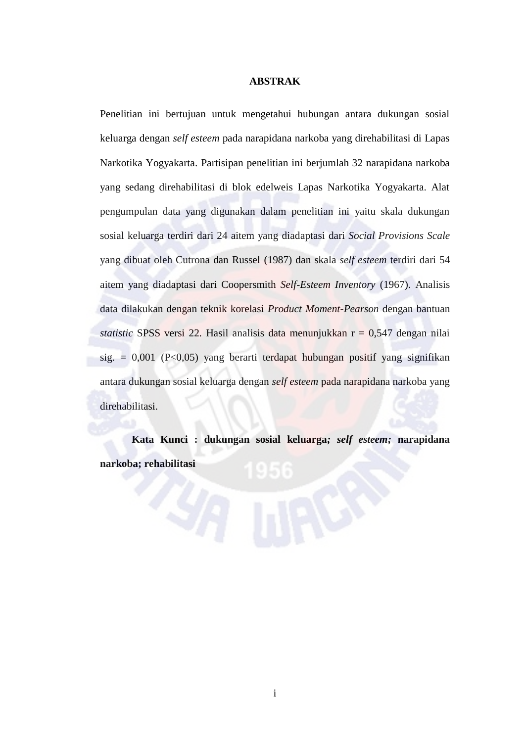## **ABSTRAK**

Penelitian ini bertujuan untuk mengetahui hubungan antara dukungan sosial keluarga dengan *self esteem* pada narapidana narkoba yang direhabilitasi di Lapas Narkotika Yogyakarta. Partisipan penelitian ini berjumlah 32 narapidana narkoba yang sedang direhabilitasi di blok edelweis Lapas Narkotika Yogyakarta. Alat pengumpulan data yang digunakan dalam penelitian ini yaitu skala dukungan sosial keluarga terdiri dari 24 aitem yang diadaptasi dari *Social Provisions Scale* yang dibuat oleh Cutrona dan Russel (1987) dan skala *self esteem* terdiri dari 54 aitem yang diadaptasi dari Coopersmith *Self-Esteem Inventory* (1967). Analisis data dilakukan dengan teknik korelasi *Product Moment-Pearson* dengan bantuan *statistic* SPSS versi 22*.* Hasil analisis data menunjukkan r = 0,547 dengan nilai  $sig. = 0.001$  (P<0.05) yang berarti terdapat hubungan positif yang signifikan antara dukungan sosial keluarga dengan *self esteem* pada narapidana narkoba yang direhabilitasi.

**Kata Kunci : dukungan sosial keluarga***; self esteem;* **narapidana narkoba; rehabilitasi**